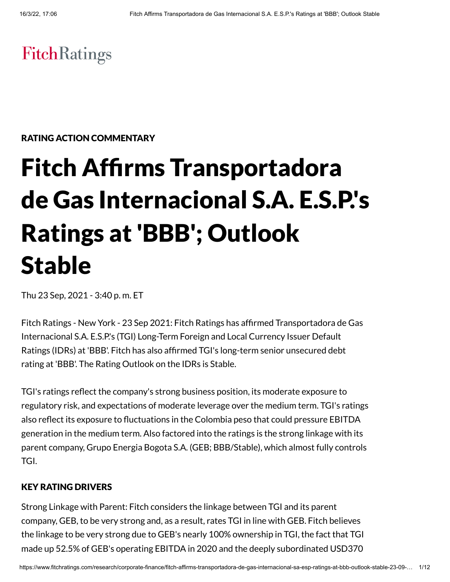# **FitchRatings**

# RATING ACTION COMMENTARY

# Fitch Affirms Transportadora de Gas Internacional S.A. E.S.P.'s Ratings at 'BBB'; Outlook Stable

Thu 23 Sep, 2021 - 3:40 p. m. ET

Fitch Ratings - New York - 23 Sep 2021: Fitch Ratings has affirmed Transportadora de Gas Internacional S.A. E.S.P.'s (TGI) Long-Term Foreign and Local Currency Issuer Default Ratings (IDRs) at 'BBB'. Fitch has also affirmed TGI's long-term senior unsecured debt rating at 'BBB'. The Rating Outlook on the IDRs is Stable.

TGI's ratings reflect the company's strong business position, its moderate exposure to regulatory risk, and expectations of moderate leverage over the medium term. TGI's ratings also reflect its exposure to fluctuations in the Colombia peso that could pressure EBITDA generation in the medium term. Also factored into the ratings is the strong linkage with its parent company, Grupo Energia Bogota S.A. (GEB; BBB/Stable), which almost fully controls TGI.

# KEY RATING DRIVERS

Strong Linkage with Parent: Fitch considers the linkage between TGI and its parent company, GEB, to be very strong and, as a result, rates TGI in line with GEB. Fitch believes the linkage to be very strong due to GEB's nearly 100% ownership in TGI, the fact that TGI made up 52.5% of GEB's operating EBITDA in 2020 and the deeply subordinated USD370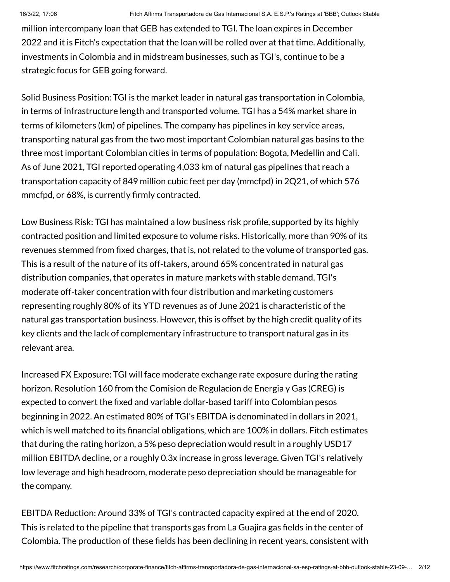million intercompany loan that GEB has extended to TGI. The loan expires in December 2022 and it is Fitch's expectation that the loan will be rolled over at that time. Additionally, investments in Colombia and in midstream businesses, such as TGI's, continue to be a strategic focus for GEB going forward.

Solid Business Position: TGI is the market leader in natural gas transportation in Colombia, in terms of infrastructure length and transported volume. TGI has a 54% market share in terms of kilometers (km) of pipelines. The company has pipelines in key service areas, transporting natural gas from the two most important Colombian natural gas basins to the three most important Colombian cities in terms of population: Bogota, Medellin and Cali. As of June 2021, TGI reported operating 4,033 km of natural gas pipelines that reach a transportation capacity of 849 million cubic feet per day (mmcfpd) in 2Q21, of which 576 mmcfpd, or 68%, is currently firmly contracted.

Low Business Risk: TGI has maintained a low business risk profile, supported by its highly contracted position and limited exposure to volume risks. Historically, more than 90% of its revenues stemmed from fixed charges, that is, not related to the volume of transported gas. This is a result of the nature of its off-takers, around 65% concentrated in natural gas distribution companies, that operates in mature markets with stable demand. TGI's moderate off-taker concentration with four distribution and marketing customers representing roughly 80% of its YTD revenues as of June 2021 is characteristic of the natural gas transportation business. However, this is offset by the high credit quality of its key clients and the lack of complementary infrastructure to transport natural gas in its relevant area.

Increased FX Exposure: TGI will face moderate exchange rate exposure during the rating horizon. Resolution 160 from the Comision de Regulacion de Energia y Gas (CREG) is expected to convert the fixed and variable dollar-based tariff into Colombian pesos beginning in 2022. An estimated 80% of TGI's EBITDA is denominated in dollars in 2021, which is well matched to its financial obligations, which are 100% in dollars. Fitch estimates that during the rating horizon, a 5% peso depreciation would result in a roughly USD17 million EBITDA decline, or a roughly 0.3x increase in gross leverage. Given TGI's relatively low leverage and high headroom, moderate peso depreciation should be manageable for the company.

EBITDA Reduction: Around 33% of TGI's contracted capacity expired at the end of 2020. This is related to the pipeline that transports gas from La Guajira gas fields in the center of Colombia. The production of these fields has been declining in recent years, consistent with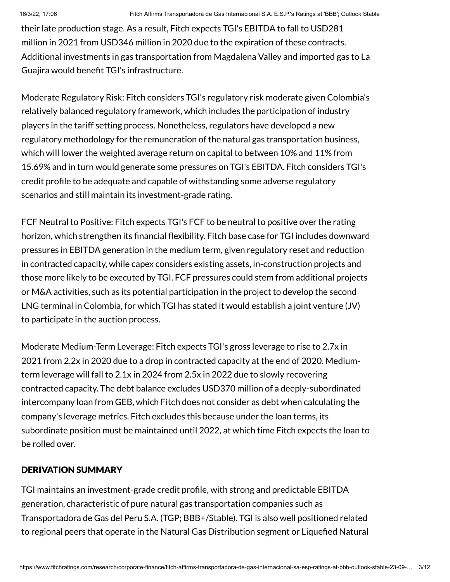their late production stage. As a result, Fitch expects TGI's EBITDA to fall to USD281 million in 2021 from USD346 million in 2020 due to the expiration of these contracts. Additional investments in gas transportation from Magdalena Valley and imported gas to La Guajira would benefit TGI's infrastructure.

Moderate Regulatory Risk: Fitch considers TGI's regulatory risk moderate given Colombia's relatively balanced regulatory framework, which includes the participation of industry players in the tariff setting process. Nonetheless, regulators have developed a new regulatory methodology for the remuneration of the natural gas transportation business, which will lower the weighted average return on capital to between 10% and 11% from 15.69% and in turn would generate some pressures on TGI's EBITDA. Fitch considers TGI's credit profile to be adequate and capable of withstanding some adverse regulatory scenarios and still maintain its investment-grade rating.

FCF Neutral to Positive: Fitch expects TGI's FCF to be neutral to positive over the rating horizon, which strengthen its financial flexibility. Fitch base case for TGI includes downward pressures in EBITDA generation in the medium term, given regulatory reset and reduction in contracted capacity, while capex considers existing assets, in-construction projects and those more likely to be executed by TGI. FCF pressures could stem from additional projects or M&A activities, such as its potential participation in the project to develop the second LNG terminal in Colombia, for which TGI has stated it would establish a joint venture (JV) to participate in the auction process.

Moderate Medium-Term Leverage: Fitch expects TGI's gross leverage to rise to 2.7x in 2021 from 2.2x in 2020 due to a drop in contracted capacity at the end of 2020. Mediumterm leverage will fall to 2.1x in 2024 from 2.5x in 2022 due to slowly recovering contracted capacity. The debt balance excludes USD370 million of a deeply-subordinated intercompany loan from GEB, which Fitch does not consider as debt when calculating the company's leverage metrics. Fitch excludes this because under the loan terms, its subordinate position must be maintained until 2022, at which time Fitch expects the loan to be rolled over.

# DERIVATION SUMMARY

TGI maintains an investment-grade credit profile, with strong and predictable EBITDA generation, characteristic of pure natural gas transportation companies such as Transportadora de Gas del Peru S.A. (TGP; BBB+/Stable). TGI is also well positioned related to regional peers that operate in the Natural Gas Distribution segment or Liquefied Natural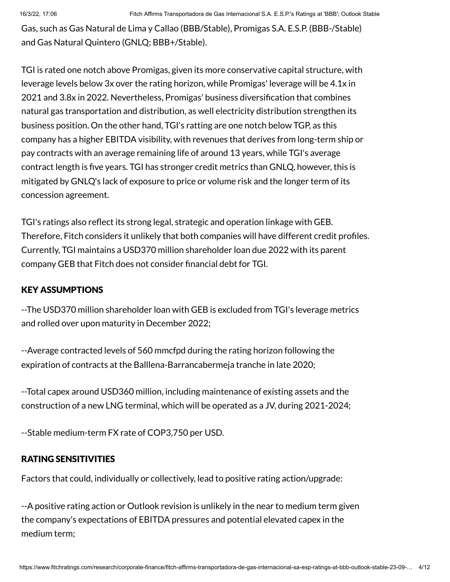Gas, such as Gas Natural de Lima y Callao (BBB/Stable), Promigas S.A. E.S.P. (BBB-/Stable) and Gas Natural Quintero (GNLQ; BBB+/Stable).

TGI is rated one notch above Promigas, given its more conservative capital structure, with leverage levels below 3x over the rating horizon, while Promigas' leverage will be 4.1x in 2021 and 3.8x in 2022. Nevertheless, Promigas' business diversification that combines natural gas transportation and distribution, as well electricity distribution strengthen its business position. On the other hand, TGI's ratting are one notch below TGP, as this company has a higher EBITDA visibility, with revenues that derives from long-term ship or pay contracts with an average remaining life of around 13 years, while TGI's average contract length is five years. TGI has stronger credit metrics than GNLQ, however, this is mitigated by GNLQ's lack of exposure to price or volume risk and the longer term of its concession agreement.

TGI's ratings also reflect its strong legal, strategic and operation linkage with GEB. Therefore, Fitch considers it unlikely that both companies will have different credit profiles. Currently, TGI maintains a USD370 million shareholder loan due 2022 with its parent company GEB that Fitch does not consider financial debt for TGI.

# KEY ASSUMPTIONS

--The USD370 million shareholder loan with GEB is excluded from TGI's leverage metrics and rolled over upon maturity in December 2022;

--Average contracted levels of 560 mmcfpd during the rating horizon following the expiration of contracts at the Balllena-Barrancabermeja tranche in late 2020;

--Total capex around USD360 million, including maintenance of existing assets and the construction of a new LNG terminal, which will be operated as a JV, during 2021-2024;

--Stable medium-term FX rate of COP3,750 per USD.

# RATING SENSITIVITIES

Factors that could, individually or collectively, lead to positive rating action/upgrade:

--A positive rating action or Outlook revision is unlikely in the near to medium term given the company's expectations of EBITDA pressures and potential elevated capex in the medium term;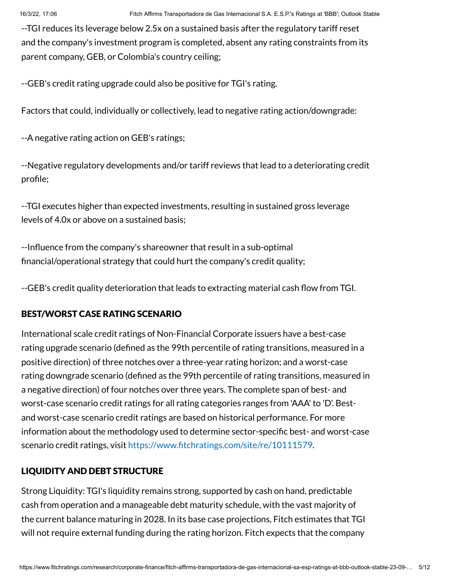--TGI reduces its leverage below 2.5x on a sustained basis after the regulatory tariff reset and the company's investment program is completed, absent any rating constraints from its parent company, GEB, or Colombia's country ceiling;

--GEB's credit rating upgrade could also be positive for TGI's rating.

Factors that could, individually or collectively, lead to negative rating action/downgrade:

--A negative rating action on GEB's ratings;

--Negative regulatory developments and/or tariff reviews that lead to a deteriorating credit profile;

--TGI executes higher than expected investments, resulting in sustained gross leverage levels of 4.0x or above on a sustained basis;

--Influence from the company's shareowner that result in a sub-optimal financial/operational strategy that could hurt the company's credit quality;

--GEB's credit quality deterioration that leads to extracting material cash flow from TGI.

# BEST/WORST CASE RATING SCENARIO

International scale credit ratings of Non-Financial Corporate issuers have a best-case rating upgrade scenario (defined as the 99th percentile of rating transitions, measured in a positive direction) of three notches over a three-year rating horizon; and a worst-case rating downgrade scenario (defined as the 99th percentile of rating transitions, measured in a negative direction) of four notches over three years. The complete span of best- and worst-case scenario credit ratings for all rating categories ranges from 'AAA' to 'D'. Bestand worst-case scenario credit ratings are based on historical performance. For more information about the methodology used to determine sector-specific best- and worst-case scenario credit ratings, visit [https://www.fitchratings.com/site/re/10111579.](https://www.fitchratings.com/site/re/10111579)

# LIQUIDITY AND DEBT STRUCTURE

Strong Liquidity: TGI's liquidity remains strong, supported by cash on hand, predictable cash from operation and a manageable debt maturity schedule, with the vast majority of the current balance maturing in 2028. In its base case projections, Fitch estimates that TGI will not require external funding during the rating horizon. Fitch expects that the company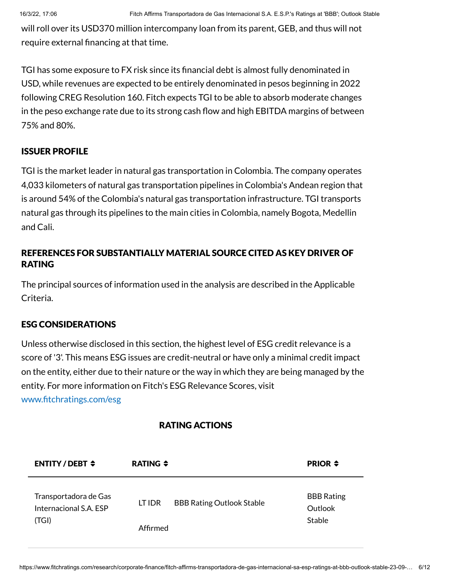will roll over its USD370 million intercompany loan from its parent, GEB, and thus will not require external financing at that time.

TGI has some exposure to FX risk since its financial debt is almost fully denominated in USD, while revenues are expected to be entirely denominated in pesos beginning in 2022 following CREG Resolution 160. Fitch expects TGI to be able to absorb moderate changes in the peso exchange rate due to its strong cash flow and high EBITDA margins of between 75% and 80%.

# ISSUER PROFILE

TGI is the market leader in natural gas transportation in Colombia. The company operates 4,033 kilometers of natural gas transportation pipelines in Colombia's Andean region that is around 54% of the Colombia's natural gas transportation infrastructure. TGI transports natural gas through its pipelines to the main cities in Colombia, namely Bogota, Medellin and Cali.

# REFERENCES FOR SUBSTANTIALLY MATERIAL SOURCE CITED AS KEY DRIVER OF RATING

The principal sources of information used in the analysis are described in the Applicable Criteria.

# ESG CONSIDERATIONS

Unless otherwise disclosed in this section, the highest level of ESG credit relevance is a score of '3'. This means ESG issues are credit-neutral or have only a minimal credit impact on the entity, either due to their nature or the way in which they are being managed by the entity. For more information on Fitch's ESG Relevance Scores, visit [www.fitchratings.com/esg](http://www.fitchratings.com/esg)

# RATING ACTIONS

| <b>ENTITY/DEBT <math>\div</math></b> | <b>RATING ≑</b>                  | <b>PRIOR <math>\div</math></b> |
|--------------------------------------|----------------------------------|--------------------------------|
| Transportadora de Gas                | <b>BBB Rating Outlook Stable</b> | <b>BBB</b> Rating              |
| Internacional S.A. ESP               | LT IDR                           | Outlook                        |
| (TGI)                                | Affirmed                         | <b>Stable</b>                  |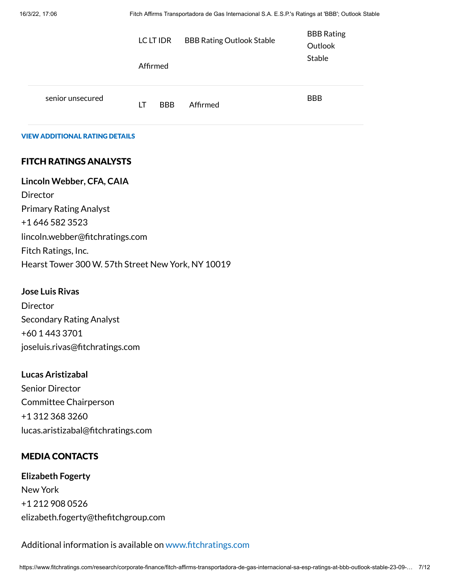|                  | Affirmed | LC LT IDR  | <b>BBB Rating Outlook Stable</b> | <b>BBB Rating</b><br>Outlook<br>Stable |
|------------------|----------|------------|----------------------------------|----------------------------------------|
| senior unsecured | LT       | <b>BBB</b> | Affirmed                         | <b>BBB</b>                             |

#### VIEW ADDITIONAL RATING DETAILS

# FITCH RATINGS ANALYSTS

**Lincoln Webber, CFA, CAIA Director** Primary Rating Analyst +1 646 582 3523 lincoln.webber@fitchratings.com Fitch Ratings, Inc. Hearst Tower 300 W. 57th Street New York, NY 10019

#### **Jose Luis Rivas**

**Director** Secondary Rating Analyst +60 1 443 3701 joseluis.rivas@fitchratings.com

#### **Lucas Aristizabal**

Senior Director Committee Chairperson +1 312 368 3260 lucas.aristizabal@fitchratings.com

# MEDIA CONTACTS

**Elizabeth Fogerty** New York +1 212 908 0526 elizabeth.fogerty@thefitchgroup.com

Additional information is available on [www.fitchratings.com](http://www.fitchratings.com/)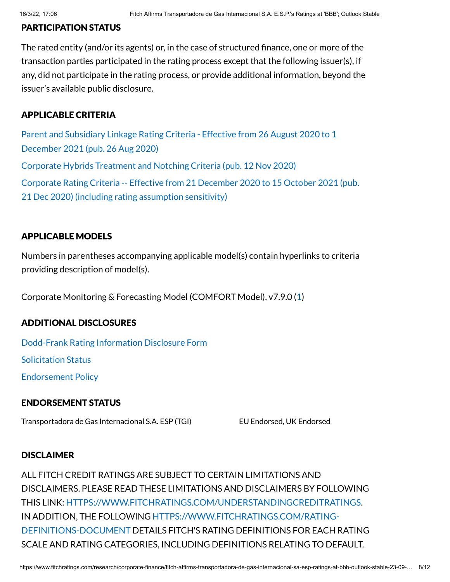# PARTICIPATION STATUS

The rated entity (and/or its agents) or, in the case of structured finance, one or more of the transaction parties participated in the rating process except that the following issuer(s), if any, did not participate in the rating process, or provide additional information, beyond the issuer's available public disclosure.

# APPLICABLE CRITERIA

Parent [and Subsidiary](https://www.fitchratings.com/research/corporate-finance/parent-subsidiary-linkage-rating-criteria-26-08-2020) Linkage Rating Criteria - Effective from 26 August 2020 to 1 December 2021 (pub. 26 Aug 2020) Corporate Hybrids Treatment [and Notching](https://www.fitchratings.com/research/corporate-finance/corporate-hybrids-treatment-notching-criteria-12-11-2020) Criteria (pub. 12 Nov 2020) Corporate Rating Criteria -- Effective from 21 December 2020 to 15 October 2021 (pub. 21 Dec 2020) (including rating [assumption](https://www.fitchratings.com/research/corporate-finance/corporate-rating-criteria-21-12-2020) sensitivity)

# APPLICABLE MODELS

Numbers in parentheses accompanying applicable model(s) contain hyperlinks to criteria providing description of model(s).

Corporate Monitoring & Forecasting Model (COMFORT Model), v7.9.0 ([1\)](https://www.fitchratings.com/research/corporate-finance/corporate-rating-criteria-21-12-2020)

# ADDITIONAL DISCLOSURES

[Dodd-Frank](https://www.fitchratings.com/research/corporate-finance/fitch-affirms-transportadora-de-gas-internacional-sa-esp-ratings-at-bbb-outlook-stable-23-09-2021/dodd-frank-disclosure) Rating Information Disclosure Form

Solicitation Status

[Endorsement](#page-10-0) Policy

# ENDORSEMENT STATUS

Transportadora de Gas Internacional S.A. ESP (TGI) EU Endorsed, UK Endorsed

#### DISCLAIMER

ALL FITCH CREDIT RATINGS ARE SUBJECT TO CERTAIN LIMITATIONS AND DISCLAIMERS. PLEASE READ THESE LIMITATIONS AND DISCLAIMERS BY FOLLOWING THIS LINK: [HTTPS://WWW.FITCHRATINGS.COM/UNDERSTANDINGCREDITRATINGS](https://www.fitchratings.com/UNDERSTANDINGCREDITRATINGS). IN ADDITION, THE FOLLOWING [HTTPS://WWW.FITCHRATINGS.COM/RATING-](https://www.fitchratings.com/rating-definitions-document)DEFINITIONS-DOCUMENT DETAILS FITCH'S RATING DEFINITIONS FOR EACH RATING SCALE AND RATING CATEGORIES, INCLUDING DEFINITIONS RELATING TO DEFAULT.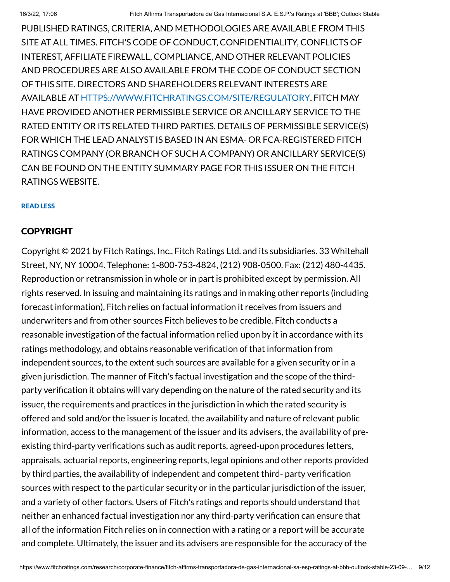PUBLISHED RATINGS, CRITERIA, AND METHODOLOGIES ARE AVAILABLE FROM THIS SITE AT ALL TIMES. FITCH'S CODE OF CONDUCT, CONFIDENTIALITY, CONFLICTS OF INTEREST, AFFILIATE FIREWALL, COMPLIANCE, AND OTHER RELEVANT POLICIES AND PROCEDURES ARE ALSO AVAILABLE FROM THE CODE OF CONDUCT SECTION OF THIS SITE. DIRECTORS AND SHAREHOLDERS RELEVANT INTERESTS ARE AVAILABLE AT [HTTPS://WWW.FITCHRATINGS.COM/SITE/REGULATORY](https://www.fitchratings.com/site/regulatory). FITCH MAY HAVE PROVIDED ANOTHER PERMISSIBLE SERVICE OR ANCILLARY SERVICE TO THE RATED ENTITY OR ITS RELATED THIRD PARTIES. DETAILS OF PERMISSIBLE SERVICE(S) FOR WHICH THE LEAD ANALYST IS BASED IN AN ESMA- OR FCA-REGISTERED FITCH RATINGS COMPANY (OR BRANCH OF SUCH A COMPANY) OR ANCILLARY SERVICE(S) CAN BE FOUND ON THE ENTITY SUMMARY PAGE FOR THIS ISSUER ON THE FITCH RATINGS WEBSITE.

#### READ LESS

# COPYRIGHT

Copyright © 2021 by Fitch Ratings, Inc., Fitch Ratings Ltd. and its subsidiaries. 33 Whitehall Street, NY, NY 10004. Telephone: 1-800-753-4824, (212) 908-0500. Fax: (212) 480-4435. Reproduction or retransmission in whole or in part is prohibited except by permission. All rights reserved. In issuing and maintaining its ratings and in making other reports (including forecast information), Fitch relies on factual information it receives from issuers and underwriters and from other sources Fitch believes to be credible. Fitch conducts a reasonable investigation of the factual information relied upon by it in accordance with its ratings methodology, and obtains reasonable verification of that information from independent sources, to the extent such sources are available for a given security or in a given jurisdiction. The manner of Fitch's factual investigation and the scope of the thirdparty verification it obtains will vary depending on the nature of the rated security and its issuer, the requirements and practices in the jurisdiction in which the rated security is offered and sold and/or the issuer is located, the availability and nature of relevant public information, access to the management of the issuer and its advisers, the availability of preexisting third-party verifications such as audit reports, agreed-upon procedures letters, appraisals, actuarial reports, engineering reports, legal opinions and other reports provided by third parties, the availability of independent and competent third- party verification sources with respect to the particular security or in the particular jurisdiction of the issuer, and a variety of other factors. Users of Fitch's ratings and reports should understand that neither an enhanced factual investigation nor any third-party verification can ensure that all of the information Fitch relies on in connection with a rating or a report will be accurate and complete. Ultimately, the issuer and its advisers are responsible for the accuracy of the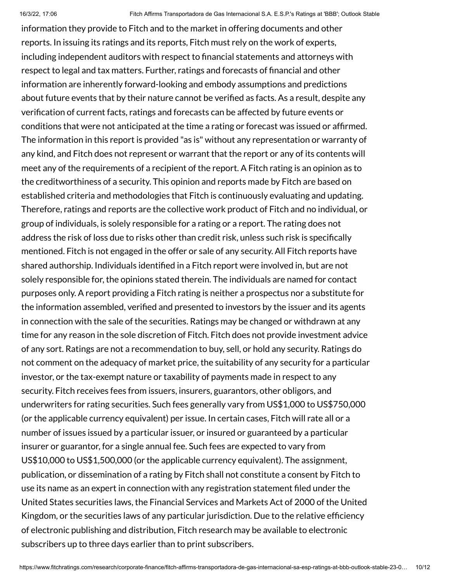information they provide to Fitch and to the market in offering documents and other reports. In issuing its ratings and its reports, Fitch must rely on the work of experts, including independent auditors with respect to financial statements and attorneys with respect to legal and tax matters. Further, ratings and forecasts of financial and other information are inherently forward-looking and embody assumptions and predictions about future events that by their nature cannot be verified as facts. As a result, despite any verification of current facts, ratings and forecasts can be affected by future events or conditions that were not anticipated at the time a rating or forecast was issued or affirmed. The information in this report is provided "as is" without any representation or warranty of any kind, and Fitch does not represent or warrant that the report or any of its contents will meet any of the requirements of a recipient of the report. A Fitch rating is an opinion as to the creditworthiness of a security. This opinion and reports made by Fitch are based on established criteria and methodologies that Fitch is continuously evaluating and updating. Therefore, ratings and reports are the collective work product of Fitch and no individual, or group of individuals, is solely responsible for a rating or a report. The rating does not address the risk of loss due to risks other than credit risk, unless such risk is specifically mentioned. Fitch is not engaged in the offer or sale of any security. All Fitch reports have shared authorship. Individuals identified in a Fitch report were involved in, but are not solely responsible for, the opinions stated therein. The individuals are named for contact purposes only. A report providing a Fitch rating is neither a prospectus nor a substitute for the information assembled, verified and presented to investors by the issuer and its agents in connection with the sale of the securities. Ratings may be changed or withdrawn at any time for any reason in the sole discretion of Fitch. Fitch does not provide investment advice of any sort. Ratings are not a recommendation to buy, sell, or hold any security. Ratings do not comment on the adequacy of market price, the suitability of any security for a particular investor, or the tax-exempt nature or taxability of payments made in respect to any security. Fitch receives fees from issuers, insurers, guarantors, other obligors, and underwriters for rating securities. Such fees generally vary from US\$1,000 to US\$750,000 (or the applicable currency equivalent) per issue. In certain cases, Fitch will rate all or a number of issues issued by a particular issuer, or insured or guaranteed by a particular insurer or guarantor, for a single annual fee. Such fees are expected to vary from US\$10,000 to US\$1,500,000 (or the applicable currency equivalent). The assignment, publication, or dissemination of a rating by Fitch shall not constitute a consent by Fitch to use its name as an expert in connection with any registration statement filed under the United States securities laws, the Financial Services and Markets Act of 2000 of the United Kingdom, or the securities laws of any particular jurisdiction. Due to the relative efficiency of electronic publishing and distribution, Fitch research may be available to electronic subscribers up to three days earlier than to print subscribers.